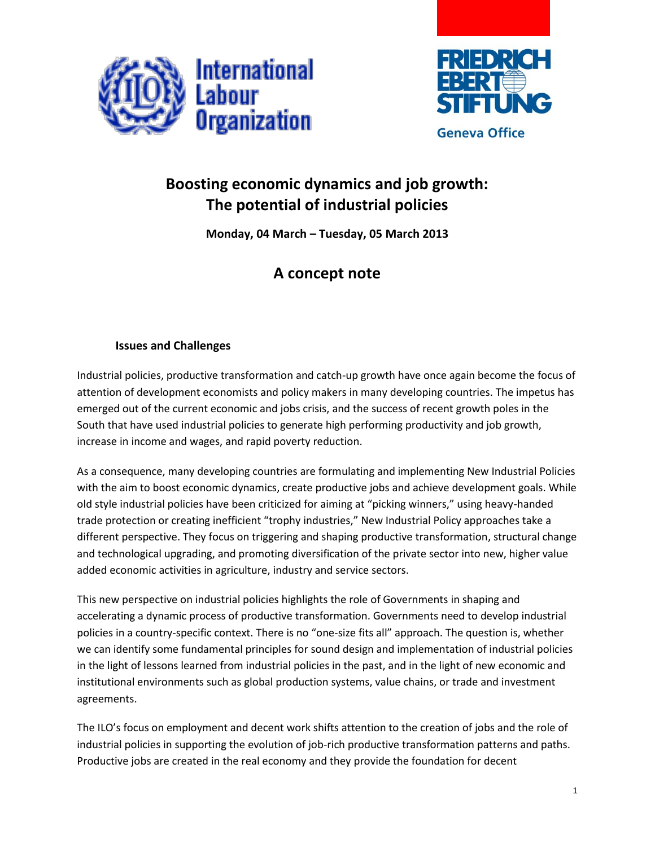



## **Boosting economic dynamics and job growth: The potential of industrial policies**

**Monday, 04 March – Tuesday, 05 March 2013**

## **A concept note**

## **Issues and Challenges**

Industrial policies, productive transformation and catch-up growth have once again become the focus of attention of development economists and policy makers in many developing countries. The impetus has emerged out of the current economic and jobs crisis, and the success of recent growth poles in the South that have used industrial policies to generate high performing productivity and job growth, increase in income and wages, and rapid poverty reduction.

As a consequence, many developing countries are formulating and implementing New Industrial Policies with the aim to boost economic dynamics, create productive jobs and achieve development goals. While old style industrial policies have been criticized for aiming at "picking winners," using heavy-handed trade protection or creating inefficient "trophy industries," New Industrial Policy approaches take a different perspective. They focus on triggering and shaping productive transformation, structural change and technological upgrading, and promoting diversification of the private sector into new, higher value added economic activities in agriculture, industry and service sectors.

This new perspective on industrial policies highlights the role of Governments in shaping and accelerating a dynamic process of productive transformation. Governments need to develop industrial policies in a country-specific context. There is no "one-size fits all" approach. The question is, whether we can identify some fundamental principles for sound design and implementation of industrial policies in the light of lessons learned from industrial policies in the past, and in the light of new economic and institutional environments such as global production systems, value chains, or trade and investment agreements.

The ILO's focus on employment and decent work shifts attention to the creation of jobs and the role of industrial policies in supporting the evolution of job-rich productive transformation patterns and paths. Productive jobs are created in the real economy and they provide the foundation for decent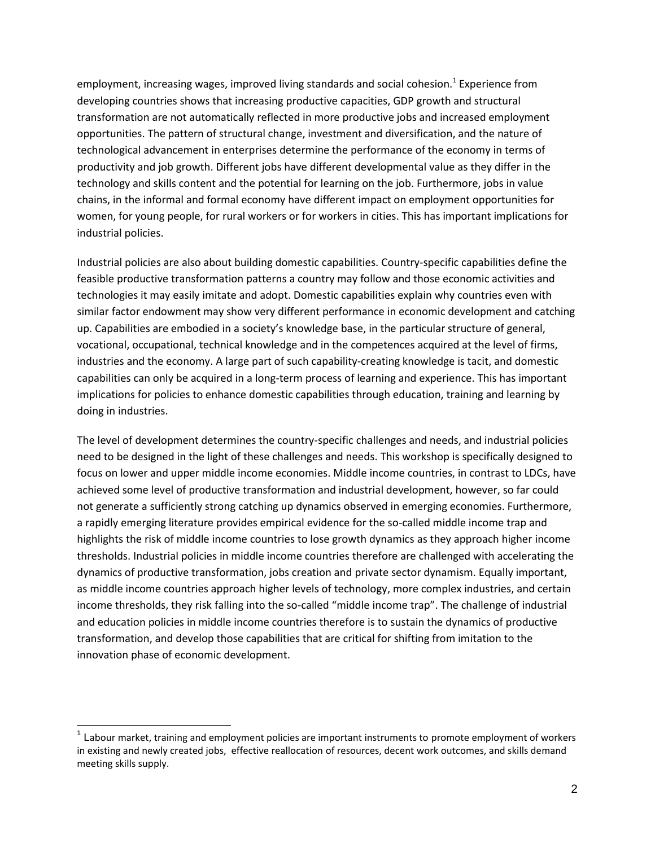employment, increasing wages, improved living standards and social cohesion.<sup>1</sup> Experience from developing countries shows that increasing productive capacities, GDP growth and structural transformation are not automatically reflected in more productive jobs and increased employment opportunities. The pattern of structural change, investment and diversification, and the nature of technological advancement in enterprises determine the performance of the economy in terms of productivity and job growth. Different jobs have different developmental value as they differ in the technology and skills content and the potential for learning on the job. Furthermore, jobs in value chains, in the informal and formal economy have different impact on employment opportunities for women, for young people, for rural workers or for workers in cities. This has important implications for industrial policies.

Industrial policies are also about building domestic capabilities. Country-specific capabilities define the feasible productive transformation patterns a country may follow and those economic activities and technologies it may easily imitate and adopt. Domestic capabilities explain why countries even with similar factor endowment may show very different performance in economic development and catching up. Capabilities are embodied in a society's knowledge base, in the particular structure of general, vocational, occupational, technical knowledge and in the competences acquired at the level of firms, industries and the economy. A large part of such capability-creating knowledge is tacit, and domestic capabilities can only be acquired in a long-term process of learning and experience. This has important implications for policies to enhance domestic capabilities through education, training and learning by doing in industries.

The level of development determines the country-specific challenges and needs, and industrial policies need to be designed in the light of these challenges and needs. This workshop is specifically designed to focus on lower and upper middle income economies. Middle income countries, in contrast to LDCs, have achieved some level of productive transformation and industrial development, however, so far could not generate a sufficiently strong catching up dynamics observed in emerging economies. Furthermore, a rapidly emerging literature provides empirical evidence for the so-called middle income trap and highlights the risk of middle income countries to lose growth dynamics as they approach higher income thresholds. Industrial policies in middle income countries therefore are challenged with accelerating the dynamics of productive transformation, jobs creation and private sector dynamism. Equally important, as middle income countries approach higher levels of technology, more complex industries, and certain income thresholds, they risk falling into the so-called "middle income trap". The challenge of industrial and education policies in middle income countries therefore is to sustain the dynamics of productive transformation, and develop those capabilities that are critical for shifting from imitation to the innovation phase of economic development.

 $1$  Labour market, training and employment policies are important instruments to promote employment of workers in existing and newly created jobs, effective reallocation of resources, decent work outcomes, and skills demand meeting skills supply.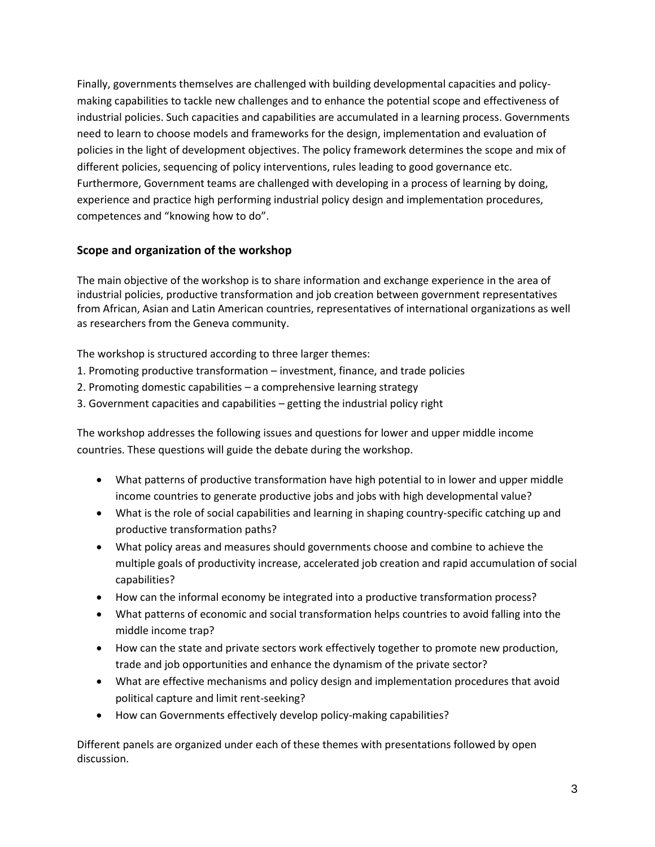Finally, governments themselves are challenged with building developmental capacities and policymaking capabilities to tackle new challenges and to enhance the potential scope and effectiveness of industrial policies. Such capacities and capabilities are accumulated in a learning process. Governments need to learn to choose models and frameworks for the design, implementation and evaluation of policies in the light of development objectives. The policy framework determines the scope and mix of different policies, sequencing of policy interventions, rules leading to good governance etc. Furthermore, Government teams are challenged with developing in a process of learning by doing, experience and practice high performing industrial policy design and implementation procedures, competences and "knowing how to do".

## **Scope and organization of the workshop**

The main objective of the workshop is to share information and exchange experience in the area of industrial policies, productive transformation and job creation between government representatives from African, Asian and Latin American countries, representatives of international organizations as well as researchers from the Geneva community.

The workshop is structured according to three larger themes:

- 1. Promoting productive transformation investment, finance, and trade policies
- 2. Promoting domestic capabilities a comprehensive learning strategy
- 3. Government capacities and capabilities getting the industrial policy right

The workshop addresses the following issues and questions for lower and upper middle income countries. These questions will guide the debate during the workshop.

- What patterns of productive transformation have high potential to in lower and upper middle income countries to generate productive jobs and jobs with high developmental value?
- What is the role of social capabilities and learning in shaping country-specific catching up and productive transformation paths?
- What policy areas and measures should governments choose and combine to achieve the multiple goals of productivity increase, accelerated job creation and rapid accumulation of social capabilities?
- How can the informal economy be integrated into a productive transformation process?
- What patterns of economic and social transformation helps countries to avoid falling into the middle income trap?
- How can the state and private sectors work effectively together to promote new production, trade and job opportunities and enhance the dynamism of the private sector?
- What are effective mechanisms and policy design and implementation procedures that avoid political capture and limit rent-seeking?
- How can Governments effectively develop policy-making capabilities?

Different panels are organized under each of these themes with presentations followed by open discussion.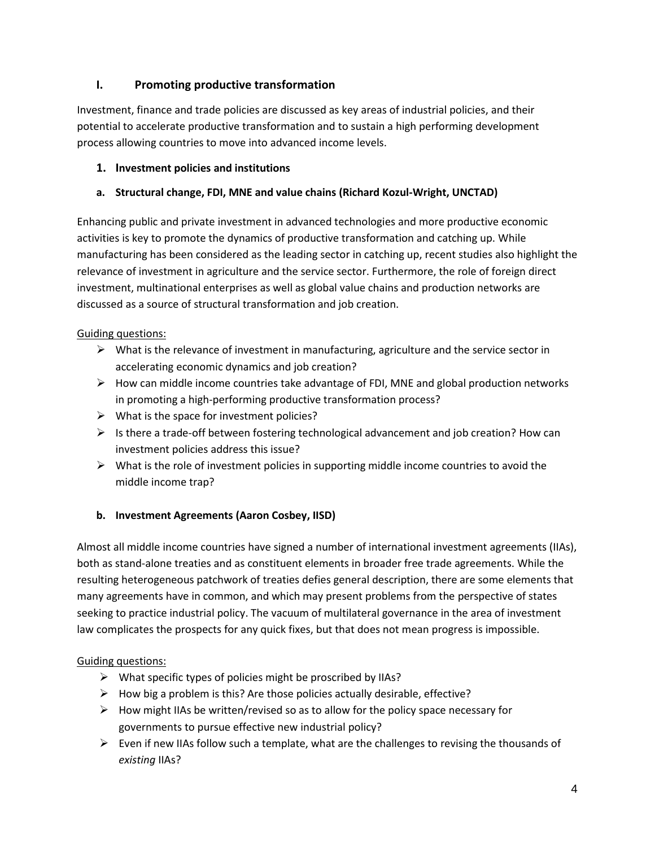## **I. Promoting productive transformation**

Investment, finance and trade policies are discussed as key areas of industrial policies, and their potential to accelerate productive transformation and to sustain a high performing development process allowing countries to move into advanced income levels.

## **1. Investment policies and institutions**

## **a. Structural change, FDI, MNE and value chains (Richard Kozul-Wright, UNCTAD)**

Enhancing public and private investment in advanced technologies and more productive economic activities is key to promote the dynamics of productive transformation and catching up. While manufacturing has been considered as the leading sector in catching up, recent studies also highlight the relevance of investment in agriculture and the service sector. Furthermore, the role of foreign direct investment, multinational enterprises as well as global value chains and production networks are discussed as a source of structural transformation and job creation.

## Guiding questions:

- $\triangleright$  What is the relevance of investment in manufacturing, agriculture and the service sector in accelerating economic dynamics and job creation?
- $\triangleright$  How can middle income countries take advantage of FDI, MNE and global production networks in promoting a high-performing productive transformation process?
- $\triangleright$  What is the space for investment policies?
- $\triangleright$  Is there a trade-off between fostering technological advancement and job creation? How can investment policies address this issue?
- $\triangleright$  What is the role of investment policies in supporting middle income countries to avoid the middle income trap?

## **b. Investment Agreements (Aaron Cosbey, IISD)**

Almost all middle income countries have signed a number of international investment agreements (IIAs), both as stand-alone treaties and as constituent elements in broader free trade agreements. While the resulting heterogeneous patchwork of treaties defies general description, there are some elements that many agreements have in common, and which may present problems from the perspective of states seeking to practice industrial policy. The vacuum of multilateral governance in the area of investment law complicates the prospects for any quick fixes, but that does not mean progress is impossible.

## Guiding questions:

- $\triangleright$  What specific types of policies might be proscribed by IIAs?
- $\triangleright$  How big a problem is this? Are those policies actually desirable, effective?
- $\triangleright$  How might IIAs be written/revised so as to allow for the policy space necessary for governments to pursue effective new industrial policy?
- $\triangleright$  Even if new IIAs follow such a template, what are the challenges to revising the thousands of *existing* IIAs?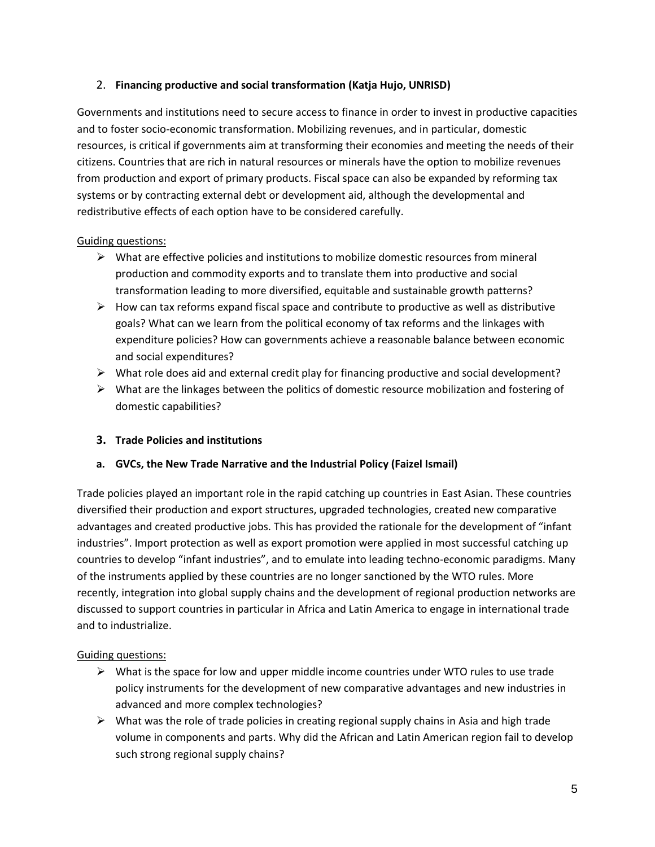#### 2. **Financing productive and social transformation (Katja Hujo, UNRISD)**

Governments and institutions need to secure access to finance in order to invest in productive capacities and to foster socio-economic transformation. Mobilizing revenues, and in particular, domestic resources, is critical if governments aim at transforming their economies and meeting the needs of their citizens. Countries that are rich in natural resources or minerals have the option to mobilize revenues from production and export of primary products. Fiscal space can also be expanded by reforming tax systems or by contracting external debt or development aid, although the developmental and redistributive effects of each option have to be considered carefully.

#### Guiding questions:

- $\triangleright$  What are effective policies and institutions to mobilize domestic resources from mineral production and commodity exports and to translate them into productive and social transformation leading to more diversified, equitable and sustainable growth patterns?
- $\triangleright$  How can tax reforms expand fiscal space and contribute to productive as well as distributive goals? What can we learn from the political economy of tax reforms and the linkages with expenditure policies? How can governments achieve a reasonable balance between economic and social expenditures?
- $\triangleright$  What role does aid and external credit play for financing productive and social development?
- $\triangleright$  What are the linkages between the politics of domestic resource mobilization and fostering of domestic capabilities?

## **3. Trade Policies and institutions**

#### **a. GVCs, the New Trade Narrative and the Industrial Policy (Faizel Ismail)**

Trade policies played an important role in the rapid catching up countries in East Asian. These countries diversified their production and export structures, upgraded technologies, created new comparative advantages and created productive jobs. This has provided the rationale for the development of "infant industries". Import protection as well as export promotion were applied in most successful catching up countries to develop "infant industries", and to emulate into leading techno-economic paradigms. Many of the instruments applied by these countries are no longer sanctioned by the WTO rules. More recently, integration into global supply chains and the development of regional production networks are discussed to support countries in particular in Africa and Latin America to engage in international trade and to industrialize.

#### Guiding questions:

- $\triangleright$  What is the space for low and upper middle income countries under WTO rules to use trade policy instruments for the development of new comparative advantages and new industries in advanced and more complex technologies?
- $\triangleright$  What was the role of trade policies in creating regional supply chains in Asia and high trade volume in components and parts. Why did the African and Latin American region fail to develop such strong regional supply chains?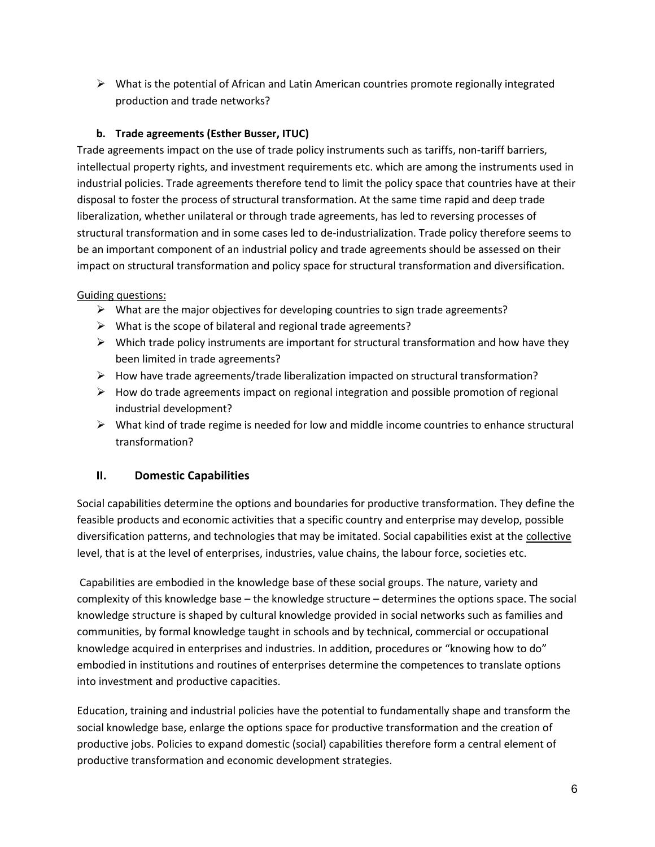$\triangleright$  What is the potential of African and Latin American countries promote regionally integrated production and trade networks?

## **b. Trade agreements (Esther Busser, ITUC)**

Trade agreements impact on the use of trade policy instruments such as tariffs, non-tariff barriers, intellectual property rights, and investment requirements etc. which are among the instruments used in industrial policies. Trade agreements therefore tend to limit the policy space that countries have at their disposal to foster the process of structural transformation. At the same time rapid and deep trade liberalization, whether unilateral or through trade agreements, has led to reversing processes of structural transformation and in some cases led to de-industrialization. Trade policy therefore seems to be an important component of an industrial policy and trade agreements should be assessed on their impact on structural transformation and policy space for structural transformation and diversification.

## Guiding questions:

- $\triangleright$  What are the major objectives for developing countries to sign trade agreements?
- $\triangleright$  What is the scope of bilateral and regional trade agreements?
- $\triangleright$  Which trade policy instruments are important for structural transformation and how have they been limited in trade agreements?
- $\triangleright$  How have trade agreements/trade liberalization impacted on structural transformation?
- $\triangleright$  How do trade agreements impact on regional integration and possible promotion of regional industrial development?
- $\triangleright$  What kind of trade regime is needed for low and middle income countries to enhance structural transformation?

## **II. Domestic Capabilities**

Social capabilities determine the options and boundaries for productive transformation. They define the feasible products and economic activities that a specific country and enterprise may develop, possible diversification patterns, and technologies that may be imitated. Social capabilities exist at the collective level, that is at the level of enterprises, industries, value chains, the labour force, societies etc.

Capabilities are embodied in the knowledge base of these social groups. The nature, variety and complexity of this knowledge base – the knowledge structure – determines the options space. The social knowledge structure is shaped by cultural knowledge provided in social networks such as families and communities, by formal knowledge taught in schools and by technical, commercial or occupational knowledge acquired in enterprises and industries. In addition, procedures or "knowing how to do" embodied in institutions and routines of enterprises determine the competences to translate options into investment and productive capacities.

Education, training and industrial policies have the potential to fundamentally shape and transform the social knowledge base, enlarge the options space for productive transformation and the creation of productive jobs. Policies to expand domestic (social) capabilities therefore form a central element of productive transformation and economic development strategies.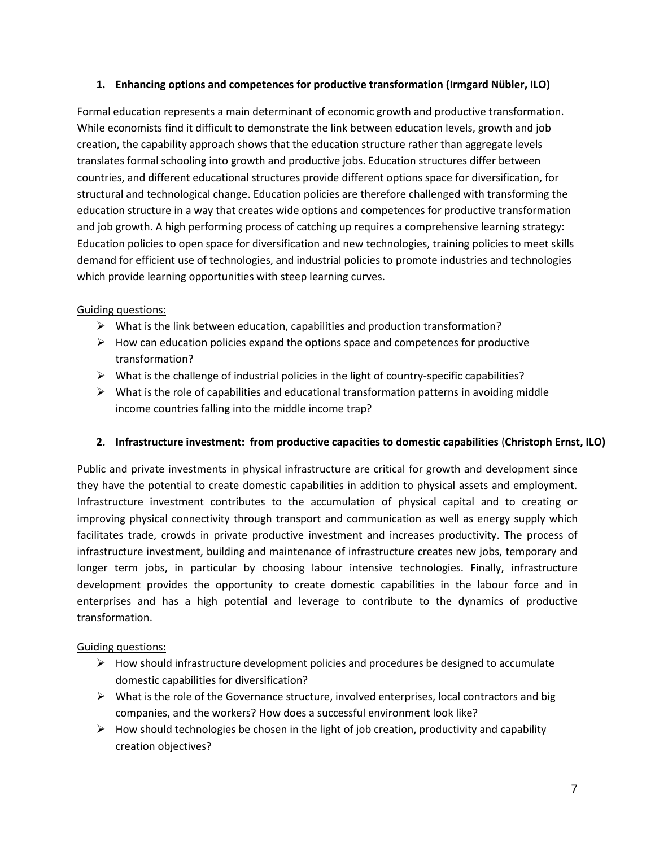#### **1. Enhancing options and competences for productive transformation (Irmgard Nübler, ILO)**

Formal education represents a main determinant of economic growth and productive transformation. While economists find it difficult to demonstrate the link between education levels, growth and job creation, the capability approach shows that the education structure rather than aggregate levels translates formal schooling into growth and productive jobs. Education structures differ between countries, and different educational structures provide different options space for diversification, for structural and technological change. Education policies are therefore challenged with transforming the education structure in a way that creates wide options and competences for productive transformation and job growth. A high performing process of catching up requires a comprehensive learning strategy: Education policies to open space for diversification and new technologies, training policies to meet skills demand for efficient use of technologies, and industrial policies to promote industries and technologies which provide learning opportunities with steep learning curves.

#### Guiding questions:

- $\triangleright$  What is the link between education, capabilities and production transformation?
- $\triangleright$  How can education policies expand the options space and competences for productive transformation?
- $\triangleright$  What is the challenge of industrial policies in the light of country-specific capabilities?
- $\triangleright$  What is the role of capabilities and educational transformation patterns in avoiding middle income countries falling into the middle income trap?

#### **2. Infrastructure investment: from productive capacities to domestic capabilities** (**Christoph Ernst, ILO)**

Public and private investments in physical infrastructure are critical for growth and development since they have the potential to create domestic capabilities in addition to physical assets and employment. Infrastructure investment contributes to the accumulation of physical capital and to creating or improving physical connectivity through transport and communication as well as energy supply which facilitates trade, crowds in private productive investment and increases productivity. The process of infrastructure investment, building and maintenance of infrastructure creates new jobs, temporary and longer term jobs, in particular by choosing labour intensive technologies. Finally, infrastructure development provides the opportunity to create domestic capabilities in the labour force and in enterprises and has a high potential and leverage to contribute to the dynamics of productive transformation.

#### Guiding questions:

- $\triangleright$  How should infrastructure development policies and procedures be designed to accumulate domestic capabilities for diversification?
- $\triangleright$  What is the role of the Governance structure, involved enterprises, local contractors and big companies, and the workers? How does a successful environment look like?
- $\triangleright$  How should technologies be chosen in the light of job creation, productivity and capability creation objectives?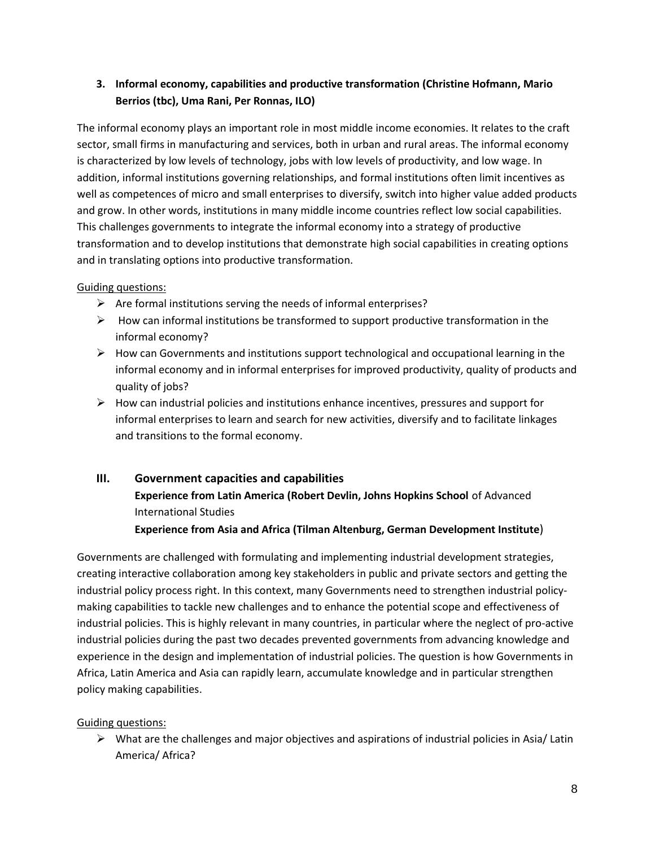## **3. Informal economy, capabilities and productive transformation (Christine Hofmann, Mario Berrios (tbc), Uma Rani, Per Ronnas, ILO)**

The informal economy plays an important role in most middle income economies. It relates to the craft sector, small firms in manufacturing and services, both in urban and rural areas. The informal economy is characterized by low levels of technology, jobs with low levels of productivity, and low wage. In addition, informal institutions governing relationships, and formal institutions often limit incentives as well as competences of micro and small enterprises to diversify, switch into higher value added products and grow. In other words, institutions in many middle income countries reflect low social capabilities. This challenges governments to integrate the informal economy into a strategy of productive transformation and to develop institutions that demonstrate high social capabilities in creating options and in translating options into productive transformation.

## Guiding questions:

- $\triangleright$  Are formal institutions serving the needs of informal enterprises?
- $\triangleright$  How can informal institutions be transformed to support productive transformation in the informal economy?
- $\triangleright$  How can Governments and institutions support technological and occupational learning in the informal economy and in informal enterprises for improved productivity, quality of products and quality of jobs?
- $\triangleright$  How can industrial policies and institutions enhance incentives, pressures and support for informal enterprises to learn and search for new activities, diversify and to facilitate linkages and transitions to the formal economy.

# **III. Government capacities and capabilities Experience from Latin America (Robert Devlin, Johns Hopkins School** of Advanced International Studies

**Experience from Asia and Africa (Tilman Altenburg, German Development Institute**)

Governments are challenged with formulating and implementing industrial development strategies, creating interactive collaboration among key stakeholders in public and private sectors and getting the industrial policy process right. In this context, many Governments need to strengthen industrial policymaking capabilities to tackle new challenges and to enhance the potential scope and effectiveness of industrial policies. This is highly relevant in many countries, in particular where the neglect of pro-active industrial policies during the past two decades prevented governments from advancing knowledge and experience in the design and implementation of industrial policies. The question is how Governments in Africa, Latin America and Asia can rapidly learn, accumulate knowledge and in particular strengthen policy making capabilities.

## Guiding questions:

 $\triangleright$  What are the challenges and major objectives and aspirations of industrial policies in Asia/ Latin America/ Africa?